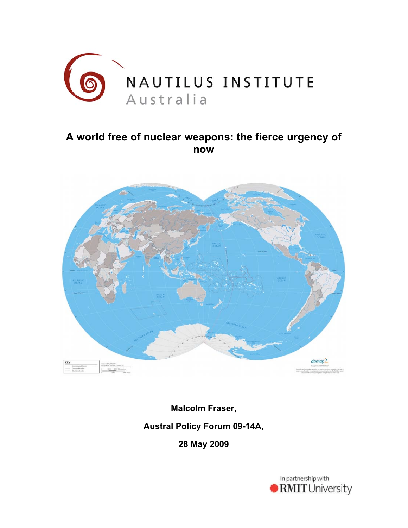

# **A world free of nuclear weapons: the fierce urgency of now**



**Malcolm Fraser, Austral Policy Forum 09-14A,** 

**28 May 2009**

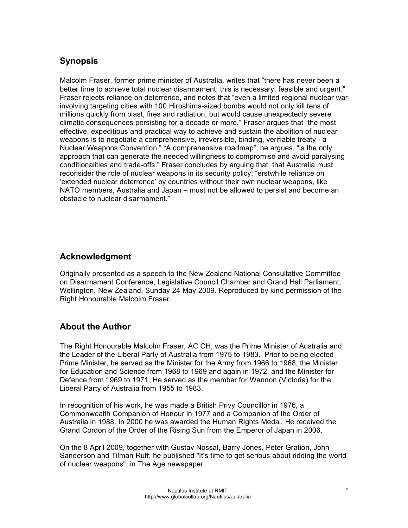## **Synopsis**

Malcolm Fraser, former prime minister of Australia, writes that "there has never been a better time to achieve total nuclear disarmament; this is necessary, feasible and urgent." Fraser rejects reliance on deterrence, and notes that "even a limited regional nuclear war involving targeting cities with 100 Hiroshima-sized bombs would not only kill tens of millions quickly from blast, fires and radiation, but would cause unexpectedly severe climatic consequences persisting for a decade or more." Fraser argues that "the most effective, expeditious and practical way to achieve and sustain the abolition of nuclear weapons is to negotiate a comprehensive, irreversible, binding, verifiable treaty - a Nuclear Weapons Convention." "A comprehensive roadmap", he argues, "is the only approach that can generate the needed willingness to compromise and avoid paralysing conditionalities and trade-offs." Fraser concludes by arguing that that Australia must reconsider the role of nuclear weapons in its security policy: "erstwhile reliance on 'extended nuclear deterrence' by countries without their own nuclear weapons, like NATO members, Australia and Japan – must not be allowed to persist and become an obstacle to nuclear disarmament."

## **Acknowledgment**

Originally presented as a speech to the New Zealand National Consultative Committee on Disarmament Conference, Legislative Council Chamber and Grand Hall Parliament, Wellington, New Zealand, Sunday 24 May 2009. Reproduced by kind permission of the Right Honourable Malcolm Fraser.

## **About the Author**

The Right Honourable Malcolm Fraser, AC CH, was the Prime Minister of Australia and the Leader of the Liberal Party of Australia from 1975 to 1983. Prior to being elected Prime Minister, he served as the Minister for the Army from 1966 to 1968, the Minister for Education and Science from 1968 to 1969 and again in 1972, and the Minister for Defence from 1969 to 1971. He served as the member for Wannon (Victoria) for the Liberal Party of Australia from 1955 to 1983.

In recognition of his work, he was made a British Privy Councillor in 1976, a Commonwealth Companion of Honour in 1977 and a Companion of the Order of Australia in 1988. In 2000 he was awarded the Human Rights Medal. He received the Grand Cordon of the Order of the Rising Sun from the Emperor of Japan in 2006.

On the 8 April 2009, together with Gustav Nossal, Barry Jones, Peter Gration, John Sanderson and Tilman Ruff, he published "It's time to get serious about ridding the world of nuclear weapons", in The Age newspaper.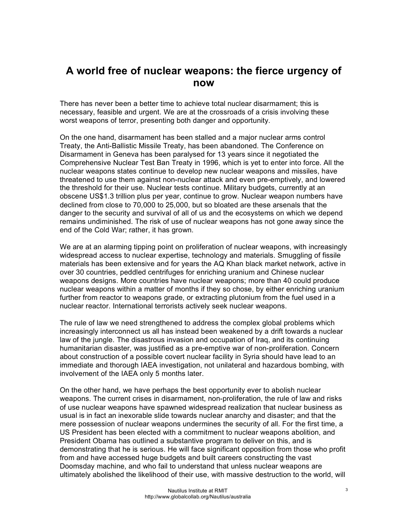## **A world free of nuclear weapons: the fierce urgency of now**

There has never been a better time to achieve total nuclear disarmament; this is necessary, feasible and urgent. We are at the crossroads of a crisis involving these worst weapons of terror, presenting both danger and opportunity.

On the one hand, disarmament has been stalled and a major nuclear arms control Treaty, the Anti-Ballistic Missile Treaty, has been abandoned. The Conference on Disarmament in Geneva has been paralysed for 13 years since it negotiated the Comprehensive Nuclear Test Ban Treaty in 1996, which is yet to enter into force. All the nuclear weapons states continue to develop new nuclear weapons and missiles, have threatened to use them against non-nuclear attack and even pre-emptively, and lowered the threshold for their use. Nuclear tests continue. Military budgets, currently at an obscene US\$1.3 trillion plus per year, continue to grow. Nuclear weapon numbers have declined from close to 70,000 to 25,000, but so bloated are these arsenals that the danger to the security and survival of all of us and the ecosystems on which we depend remains undiminished. The risk of use of nuclear weapons has not gone away since the end of the Cold War; rather, it has grown.

We are at an alarming tipping point on proliferation of nuclear weapons, with increasingly widespread access to nuclear expertise, technology and materials. Smuggling of fissile materials has been extensive and for years the AQ Khan black market network, active in over 30 countries, peddled centrifuges for enriching uranium and Chinese nuclear weapons designs. More countries have nuclear weapons; more than 40 could produce nuclear weapons within a matter of months if they so chose, by either enriching uranium further from reactor to weapons grade, or extracting plutonium from the fuel used in a nuclear reactor. International terrorists actively seek nuclear weapons.

The rule of law we need strengthened to address the complex global problems which increasingly interconnect us all has instead been weakened by a drift towards a nuclear law of the jungle. The disastrous invasion and occupation of Iraq, and its continuing humanitarian disaster, was justified as a pre-emptive war of non-proliferation. Concern about construction of a possible covert nuclear facility in Syria should have lead to an immediate and thorough IAEA investigation, not unilateral and hazardous bombing, with involvement of the IAEA only 5 months later.

On the other hand, we have perhaps the best opportunity ever to abolish nuclear weapons. The current crises in disarmament, non-proliferation, the rule of law and risks of use nuclear weapons have spawned widespread realization that nuclear business as usual is in fact an inexorable slide towards nuclear anarchy and disaster; and that the mere possession of nuclear weapons undermines the security of all. For the first time, a US President has been elected with a commitment to nuclear weapons abolition, and President Obama has outlined a substantive program to deliver on this, and is demonstrating that he is serious. He will face significant opposition from those who profit from and have accessed huge budgets and built careers constructing the vast Doomsday machine, and who fail to understand that unless nuclear weapons are ultimately abolished the likelihood of their use, with massive destruction to the world, will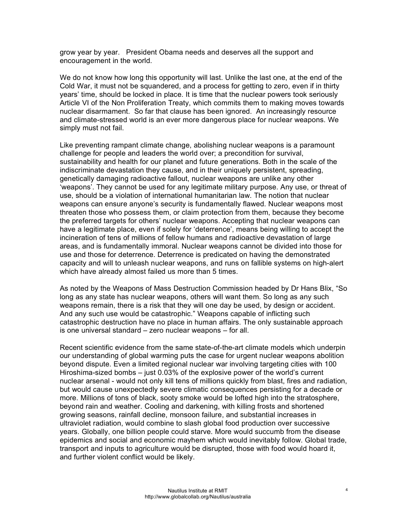grow year by year. President Obama needs and deserves all the support and encouragement in the world.

We do not know how long this opportunity will last. Unlike the last one, at the end of the Cold War, it must not be squandered, and a process for getting to zero, even if in thirty years' time, should be locked in place. It is time that the nuclear powers took seriously Article VI of the Non Proliferation Treaty, which commits them to making moves towards nuclear disarmament. So far that clause has been ignored. An increasingly resource and climate-stressed world is an ever more dangerous place for nuclear weapons. We simply must not fail.

Like preventing rampant climate change, abolishing nuclear weapons is a paramount challenge for people and leaders the world over; a precondition for survival, sustainability and health for our planet and future generations. Both in the scale of the indiscriminate devastation they cause, and in their uniquely persistent, spreading, genetically damaging radioactive fallout, nuclear weapons are unlike any other 'weapons'. They cannot be used for any legitimate military purpose. Any use, or threat of use, should be a violation of international humanitarian law. The notion that nuclear weapons can ensure anyone's security is fundamentally flawed. Nuclear weapons most threaten those who possess them, or claim protection from them, because they become the preferred targets for others' nuclear weapons. Accepting that nuclear weapons can have a legitimate place, even if solely for 'deterrence', means being willing to accept the incineration of tens of millions of fellow humans and radioactive devastation of large areas, and is fundamentally immoral. Nuclear weapons cannot be divided into those for use and those for deterrence. Deterrence is predicated on having the demonstrated capacity and will to unleash nuclear weapons, and runs on fallible systems on high-alert which have already almost failed us more than 5 times.

As noted by the Weapons of Mass Destruction Commission headed by Dr Hans Blix, "So long as any state has nuclear weapons, others will want them. So long as any such weapons remain, there is a risk that they will one day be used, by design or accident. And any such use would be catastrophic." Weapons capable of inflicting such catastrophic destruction have no place in human affairs. The only sustainable approach is one universal standard – zero nuclear weapons – for all.

Recent scientific evidence from the same state-of-the-art climate models which underpin our understanding of global warming puts the case for urgent nuclear weapons abolition beyond dispute. Even a limited regional nuclear war involving targeting cities with 100 Hiroshima-sized bombs – just 0.03% of the explosive power of the world's current nuclear arsenal - would not only kill tens of millions quickly from blast, fires and radiation, but would cause unexpectedly severe climatic consequences persisting for a decade or more. Millions of tons of black, sooty smoke would be lofted high into the stratosphere, beyond rain and weather. Cooling and darkening, with killing frosts and shortened growing seasons, rainfall decline, monsoon failure, and substantial increases in ultraviolet radiation, would combine to slash global food production over successive years. Globally, one billion people could starve. More would succumb from the disease epidemics and social and economic mayhem which would inevitably follow. Global trade, transport and inputs to agriculture would be disrupted, those with food would hoard it, and further violent conflict would be likely.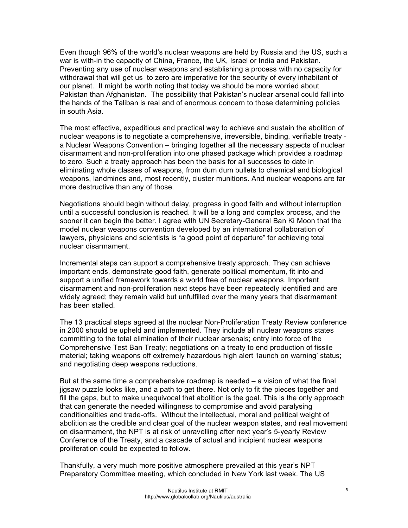Even though 96% of the world's nuclear weapons are held by Russia and the US, such a war is with-in the capacity of China, France, the UK, Israel or India and Pakistan. Preventing any use of nuclear weapons and establishing a process with no capacity for withdrawal that will get us to zero are imperative for the security of every inhabitant of our planet. It might be worth noting that today we should be more worried about Pakistan than Afghanistan. The possibility that Pakistan's nuclear arsenal could fall into the hands of the Taliban is real and of enormous concern to those determining policies in south Asia.

The most effective, expeditious and practical way to achieve and sustain the abolition of nuclear weapons is to negotiate a comprehensive, irreversible, binding, verifiable treaty a Nuclear Weapons Convention – bringing together all the necessary aspects of nuclear disarmament and non-proliferation into one phased package which provides a roadmap to zero. Such a treaty approach has been the basis for all successes to date in eliminating whole classes of weapons, from dum dum bullets to chemical and biological weapons, landmines and, most recently, cluster munitions. And nuclear weapons are far more destructive than any of those.

Negotiations should begin without delay, progress in good faith and without interruption until a successful conclusion is reached. It will be a long and complex process, and the sooner it can begin the better. I agree with UN Secretary-General Ban Ki Moon that the model nuclear weapons convention developed by an international collaboration of lawyers, physicians and scientists is "a good point of departure" for achieving total nuclear disarmament.

Incremental steps can support a comprehensive treaty approach. They can achieve important ends, demonstrate good faith, generate political momentum, fit into and support a unified framework towards a world free of nuclear weapons. Important disarmament and non-proliferation next steps have been repeatedly identified and are widely agreed; they remain valid but unfulfilled over the many years that disarmament has been stalled.

The 13 practical steps agreed at the nuclear Non-Proliferation Treaty Review conference in 2000 should be upheld and implemented. They include all nuclear weapons states committing to the total elimination of their nuclear arsenals; entry into force of the Comprehensive Test Ban Treaty; negotiations on a treaty to end production of fissile material; taking weapons off extremely hazardous high alert 'launch on warning' status; and negotiating deep weapons reductions.

But at the same time a comprehensive roadmap is needed – a vision of what the final jigsaw puzzle looks like, and a path to get there. Not only to fit the pieces together and fill the gaps, but to make unequivocal that abolition is the goal. This is the only approach that can generate the needed willingness to compromise and avoid paralysing conditionalities and trade-offs. Without the intellectual, moral and political weight of abolition as the credible and clear goal of the nuclear weapon states, and real movement on disarmament, the NPT is at risk of unravelling after next year's 5-yearly Review Conference of the Treaty, and a cascade of actual and incipient nuclear weapons proliferation could be expected to follow.

Thankfully, a very much more positive atmosphere prevailed at this year's NPT Preparatory Committee meeting, which concluded in New York last week. The US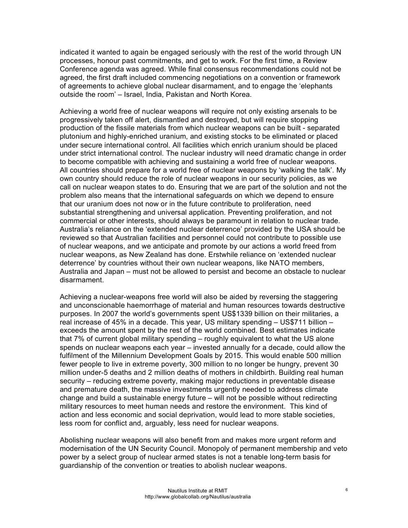indicated it wanted to again be engaged seriously with the rest of the world through UN processes, honour past commitments, and get to work. For the first time, a Review Conference agenda was agreed. While final consensus recommendations could not be agreed, the first draft included commencing negotiations on a convention or framework of agreements to achieve global nuclear disarmament, and to engage the 'elephants outside the room' – Israel, India, Pakistan and North Korea.

Achieving a world free of nuclear weapons will require not only existing arsenals to be progressively taken off alert, dismantled and destroyed, but will require stopping production of the fissile materials from which nuclear weapons can be built - separated plutonium and highly-enriched uranium, and existing stocks to be eliminated or placed under secure international control. All facilities which enrich uranium should be placed under strict international control. The nuclear industry will need dramatic change in order to become compatible with achieving and sustaining a world free of nuclear weapons. All countries should prepare for a world free of nuclear weapons by 'walking the talk'. My own country should reduce the role of nuclear weapons in our security policies, as we call on nuclear weapon states to do. Ensuring that we are part of the solution and not the problem also means that the international safeguards on which we depend to ensure that our uranium does not now or in the future contribute to proliferation, need substantial strengthening and universal application. Preventing proliferation, and not commercial or other interests, should always be paramount in relation to nuclear trade. Australia's reliance on the 'extended nuclear deterrence' provided by the USA should be reviewed so that Australian facilities and personnel could not contribute to possible use of nuclear weapons, and we anticipate and promote by our actions a world freed from nuclear weapons, as New Zealand has done. Erstwhile reliance on 'extended nuclear deterrence' by countries without their own nuclear weapons, like NATO members, Australia and Japan – must not be allowed to persist and become an obstacle to nuclear disarmament.

Achieving a nuclear-weapons free world will also be aided by reversing the staggering and unconscionable haemorrhage of material and human resources towards destructive purposes. In 2007 the world's governments spent US\$1339 billion on their militaries, a real increase of 45% in a decade. This year, US military spending – US\$711 billion – exceeds the amount spent by the rest of the world combined. Best estimates indicate that 7% of current global military spending – roughly equivalent to what the US alone spends on nuclear weapons each year – invested annually for a decade, could allow the fulfilment of the Millennium Development Goals by 2015. This would enable 500 million fewer people to live in extreme poverty, 300 million to no longer be hungry, prevent 30 million under-5 deaths and 2 million deaths of mothers in childbirth. Building real human security – reducing extreme poverty, making major reductions in preventable disease and premature death, the massive investments urgently needed to address climate change and build a sustainable energy future – will not be possible without redirecting military resources to meet human needs and restore the environment. This kind of action and less economic and social deprivation, would lead to more stable societies, less room for conflict and, arguably, less need for nuclear weapons.

Abolishing nuclear weapons will also benefit from and makes more urgent reform and modernisation of the UN Security Council. Monopoly of permanent membership and veto power by a select group of nuclear armed states is not a tenable long-term basis for guardianship of the convention or treaties to abolish nuclear weapons.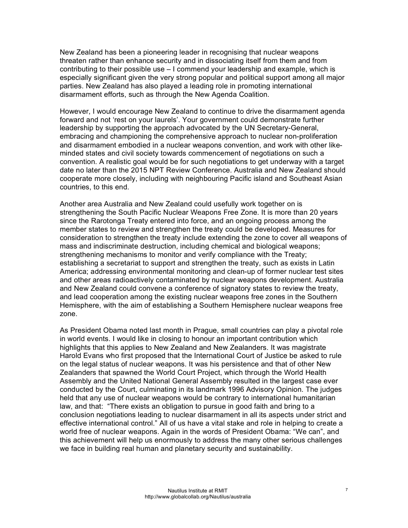New Zealand has been a pioneering leader in recognising that nuclear weapons threaten rather than enhance security and in dissociating itself from them and from contributing to their possible use – I commend your leadership and example, which is especially significant given the very strong popular and political support among all major parties. New Zealand has also played a leading role in promoting international disarmament efforts, such as through the New Agenda Coalition.

However, I would encourage New Zealand to continue to drive the disarmament agenda forward and not 'rest on your laurels'. Your government could demonstrate further leadership by supporting the approach advocated by the UN Secretary-General, embracing and championing the comprehensive approach to nuclear non-proliferation and disarmament embodied in a nuclear weapons convention, and work with other likeminded states and civil society towards commencement of negotiations on such a convention. A realistic goal would be for such negotiations to get underway with a target date no later than the 2015 NPT Review Conference. Australia and New Zealand should cooperate more closely, including with neighbouring Pacific island and Southeast Asian countries, to this end.

Another area Australia and New Zealand could usefully work together on is strengthening the South Pacific Nuclear Weapons Free Zone. It is more than 20 years since the Rarotonga Treaty entered into force, and an ongoing process among the member states to review and strengthen the treaty could be developed. Measures for consideration to strengthen the treaty include extending the zone to cover all weapons of mass and indiscriminate destruction, including chemical and biological weapons; strengthening mechanisms to monitor and verify compliance with the Treaty; establishing a secretariat to support and strengthen the treaty, such as exists in Latin America; addressing environmental monitoring and clean-up of former nuclear test sites and other areas radioactively contaminated by nuclear weapons development. Australia and New Zealand could convene a conference of signatory states to review the treaty, and lead cooperation among the existing nuclear weapons free zones in the Southern Hemisphere, with the aim of establishing a Southern Hemisphere nuclear weapons free zone.

As President Obama noted last month in Prague, small countries can play a pivotal role in world events. I would like in closing to honour an important contribution which highlights that this applies to New Zealand and New Zealanders. It was magistrate Harold Evans who first proposed that the International Court of Justice be asked to rule on the legal status of nuclear weapons. It was his persistence and that of other New Zealanders that spawned the World Court Project, which through the World Health Assembly and the United National General Assembly resulted in the largest case ever conducted by the Court, culminating in its landmark 1996 Advisory Opinion. The judges held that any use of nuclear weapons would be contrary to international humanitarian law, and that: "There exists an obligation to pursue in good faith and bring to a conclusion negotiations leading to nuclear disarmament in all its aspects under strict and effective international control." All of us have a vital stake and role in helping to create a world free of nuclear weapons. Again in the words of President Obama: "We can", and this achievement will help us enormously to address the many other serious challenges we face in building real human and planetary security and sustainability.